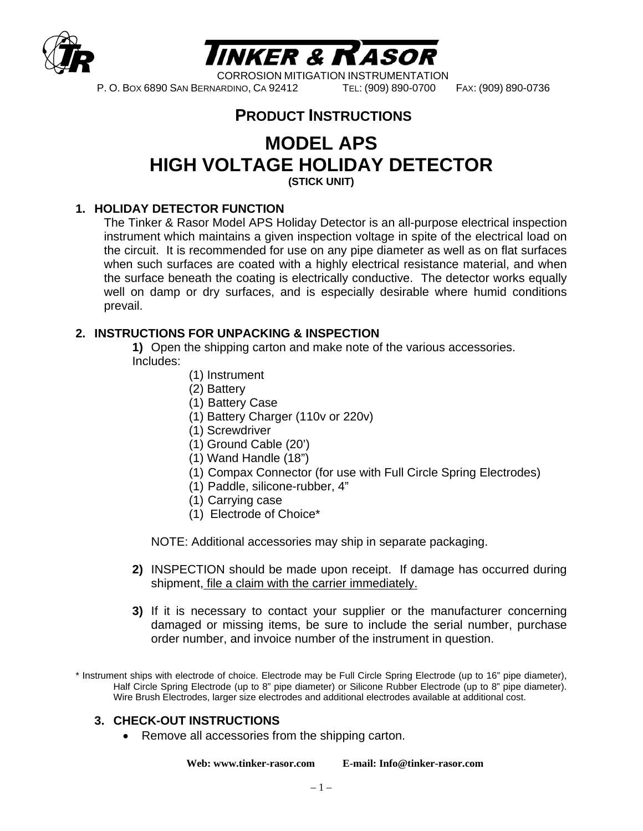



P. O. BOX 6890 SAN BERNARDINO, CA 92412 TEL: (909) 890-0700 FAX: (909) 890-0736

# **PRODUCT INSTRUCTIONS**

# **MODEL APS HIGH VOLTAGE HOLIDAY DETECTOR**

**(STICK UNIT)** 

#### **1. HOLIDAY DETECTOR FUNCTION**

 The Tinker & Rasor Model APS Holiday Detector is an all-purpose electrical inspection instrument which maintains a given inspection voltage in spite of the electrical load on the circuit. It is recommended for use on any pipe diameter as well as on flat surfaces when such surfaces are coated with a highly electrical resistance material, and when the surface beneath the coating is electrically conductive. The detector works equally well on damp or dry surfaces, and is especially desirable where humid conditions prevail.

### **2. INSTRUCTIONS FOR UNPACKING & INSPECTION**

**1)** Open the shipping carton and make note of the various accessories. Includes:

- (1) Instrument
- (2) Battery
- (1) Battery Case
- (1) Battery Charger (110v or 220v)
- (1) Screwdriver
- (1) Ground Cable (20')
- (1) Wand Handle (18")
- (1) Compax Connector (for use with Full Circle Spring Electrodes)
- (1) Paddle, silicone-rubber, 4"
- (1) Carrying case
- (1) Electrode of Choice\*

NOTE: Additional accessories may ship in separate packaging.

- **2)** INSPECTION should be made upon receipt. If damage has occurred during shipment, file a claim with the carrier immediately.
- **3)** If it is necessary to contact your supplier or the manufacturer concerning damaged or missing items, be sure to include the serial number, purchase order number, and invoice number of the instrument in question.

\* Instrument ships with electrode of choice. Electrode may be Full Circle Spring Electrode (up to 16" pipe diameter), Half Circle Spring Electrode (up to 8" pipe diameter) or Silicone Rubber Electrode (up to 8" pipe diameter). Wire Brush Electrodes, larger size electrodes and additional electrodes available at additional cost.

#### **3. CHECK-OUT INSTRUCTIONS**

• Remove all accessories from the shipping carton.

**Web: www.tinker-rasor.com E-mail: Info@tinker-rasor.com**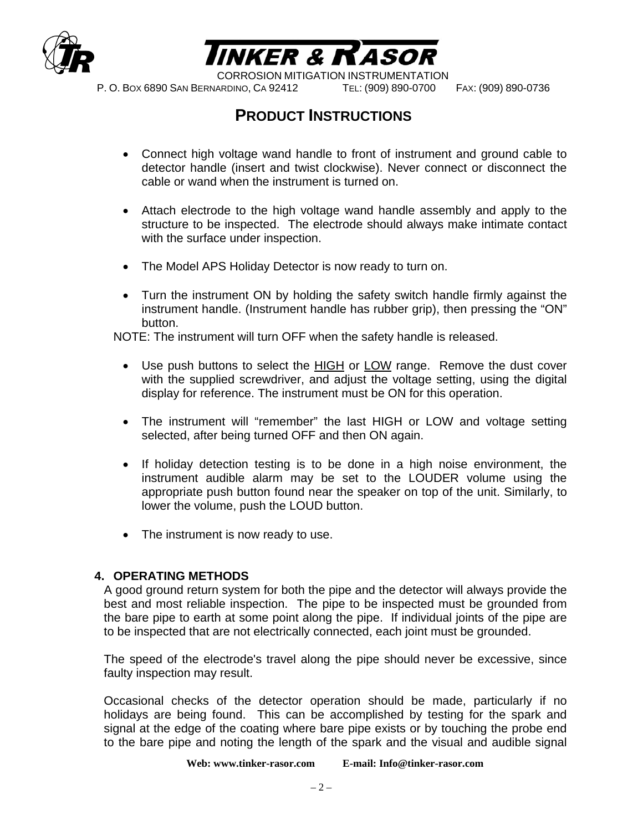



P. O. BOX 6890 SAN BERNARDINO, CA 92412 TEL: (909) 890-0700 FAX: (909) 890-0736

# **PRODUCT INSTRUCTIONS**

- Connect high voltage wand handle to front of instrument and ground cable to detector handle (insert and twist clockwise). Never connect or disconnect the cable or wand when the instrument is turned on.
- Attach electrode to the high voltage wand handle assembly and apply to the structure to be inspected. The electrode should always make intimate contact with the surface under inspection.
- The Model APS Holiday Detector is now ready to turn on.
- Turn the instrument ON by holding the safety switch handle firmly against the instrument handle. (Instrument handle has rubber grip), then pressing the "ON" button.

NOTE: The instrument will turn OFF when the safety handle is released.

- Use push buttons to select the HIGH or LOW range. Remove the dust cover with the supplied screwdriver, and adjust the voltage setting, using the digital display for reference. The instrument must be ON for this operation.
- The instrument will "remember" the last HIGH or LOW and voltage setting selected, after being turned OFF and then ON again.
- If holiday detection testing is to be done in a high noise environment, the instrument audible alarm may be set to the LOUDER volume using the appropriate push button found near the speaker on top of the unit. Similarly, to lower the volume, push the LOUD button.
- The instrument is now ready to use.

#### **4. OPERATING METHODS**

 A good ground return system for both the pipe and the detector will always provide the best and most reliable inspection. The pipe to be inspected must be grounded from the bare pipe to earth at some point along the pipe. If individual joints of the pipe are to be inspected that are not electrically connected, each joint must be grounded.

The speed of the electrode's travel along the pipe should never be excessive, since faulty inspection may result.

Occasional checks of the detector operation should be made, particularly if no holidays are being found. This can be accomplished by testing for the spark and signal at the edge of the coating where bare pipe exists or by touching the probe end to the bare pipe and noting the length of the spark and the visual and audible signal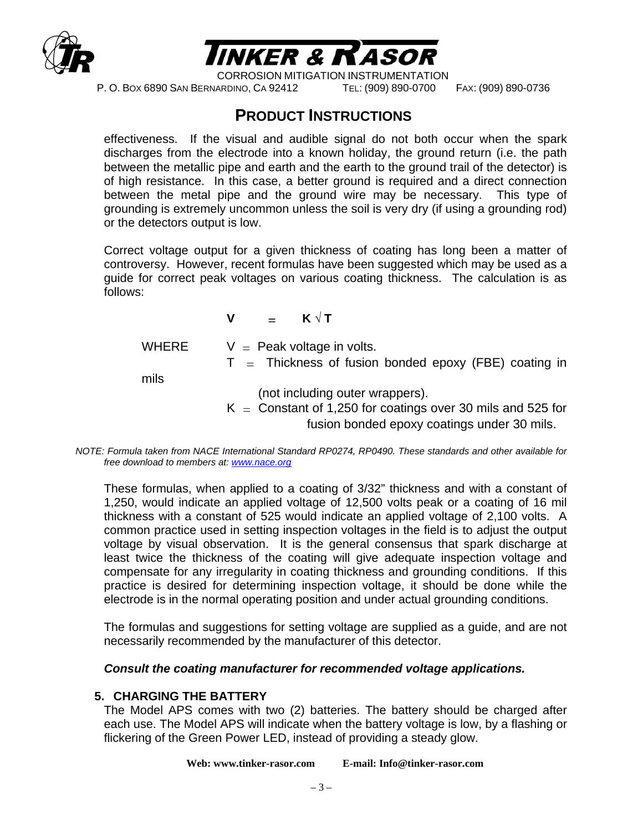



P. O. BOX 6890 SAN BERNARDINO, CA 92412 TEL: (909) 890-0700 FAX: (909) 890-0736

## **PRODUCT INSTRUCTIONS**

effectiveness. If the visual and audible signal do not both occur when the spark discharges from the electrode into a known holiday, the ground return (i.e. the path between the metallic pipe and earth and the earth to the ground trail of the detector) is of high resistance. In this case, a better ground is required and a direct connection between the metal pipe and the ground wire may be necessary. This type of grounding is extremely uncommon unless the soil is very dry (if using a grounding rod) or the detectors output is low.

 Correct voltage output for a given thickness of coating has long been a matter of controversy. However, recent formulas have been suggested which may be used as a guide for correct peak voltages on various coating thickness. The calculation is as follows:

**V** = **K √ T** 

WHERE  $V =$  Peak voltage in volts.

 $T =$  Thickness of fusion bonded epoxy (FBE) coating in

mils

(not including outer wrappers).

 $K =$  Constant of 1,250 for coatings over 30 mils and 525 for fusion bonded epoxy coatings under 30 mils.

 These formulas, when applied to a coating of 3/32" thickness and with a constant of 1,250, would indicate an applied voltage of 12,500 volts peak or a coating of 16 mil thickness with a constant of 525 would indicate an applied voltage of 2,100 volts. A common practice used in setting inspection voltages in the field is to adjust the output voltage by visual observation. It is the general consensus that spark discharge at least twice the thickness of the coating will give adequate inspection voltage and compensate for any irregularity in coating thickness and grounding conditions. If this practice is desired for determining inspection voltage, it should be done while the electrode is in the normal operating position and under actual grounding conditions.

The formulas and suggestions for setting voltage are supplied as a guide, and are not necessarily recommended by the manufacturer of this detector.

#### *Consult the coating manufacturer for recommended voltage applications.*

#### **5. CHARGING THE BATTERY**

The Model APS comes with two (2) batteries. The battery should be charged after each use. The Model APS will indicate when the battery voltage is low, by a flashing or flickering of the Green Power LED, instead of providing a steady glow.

**Web: www.tinker-rasor.com E-mail: Info@tinker-rasor.com** 

*NOTE: Formula taken from NACE International Standard RP0274, RP0490. These standards and other available for free download to members at: www.nace.org*